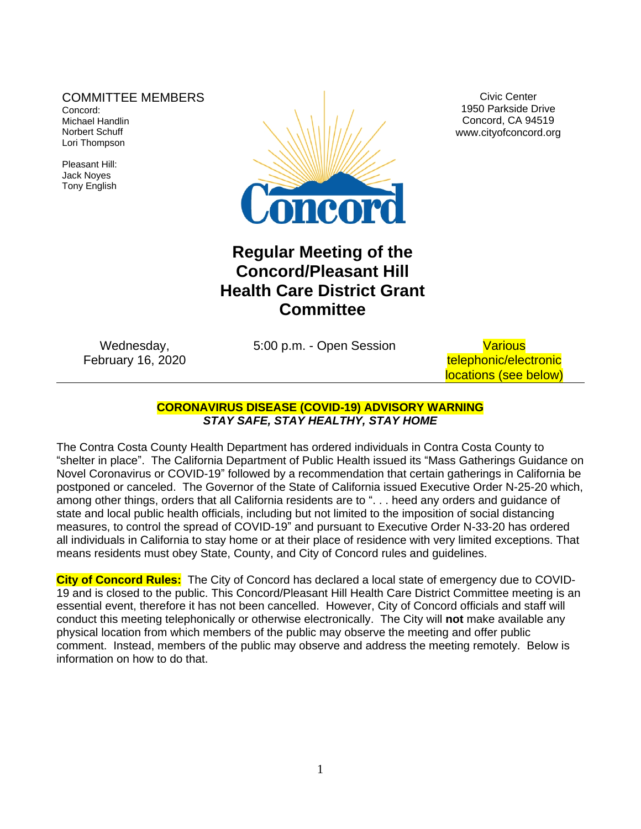#### COMMITTEE MEMBERS

Concord: Michael Handlin Norbert Schuff Lori Thompson

Pleasant Hill: Jack Noyes Tony English



Civic Center 1950 Parkside Drive Concord, CA 94519 www.cityofconcord.org

# **Regular Meeting of the Concord/Pleasant Hill Health Care District Grant Committee**

Wednesday, February 16, 2020 5:00 p.m. - Open Session Various

telephonic/electronic locations (see below)

#### **CORONAVIRUS DISEASE (COVID-19) ADVISORY WARNING** *STAY SAFE, STAY HEALTHY, STAY HOME*

The Contra Costa County Health Department has ordered individuals in Contra Costa County to "shelter in place". The California Department of Public Health issued its "Mass Gatherings Guidance on Novel Coronavirus or COVID-19" followed by a recommendation that certain gatherings in California be postponed or canceled. The Governor of the State of California issued Executive Order N-25-20 which, among other things, orders that all California residents are to ". . . heed any orders and guidance of state and local public health officials, including but not limited to the imposition of social distancing measures, to control the spread of COVID-19" and pursuant to Executive Order N-33-20 has ordered all individuals in California to stay home or at their place of residence with very limited exceptions. That means residents must obey State, County, and City of Concord rules and guidelines.

**City of Concord Rules:** The City of Concord has declared a local state of emergency due to COVID-19 and is closed to the public. This Concord/Pleasant Hill Health Care District Committee meeting is an essential event, therefore it has not been cancelled. However, City of Concord officials and staff will conduct this meeting telephonically or otherwise electronically. The City will **not** make available any physical location from which members of the public may observe the meeting and offer public comment. Instead, members of the public may observe and address the meeting remotely. Below is information on how to do that.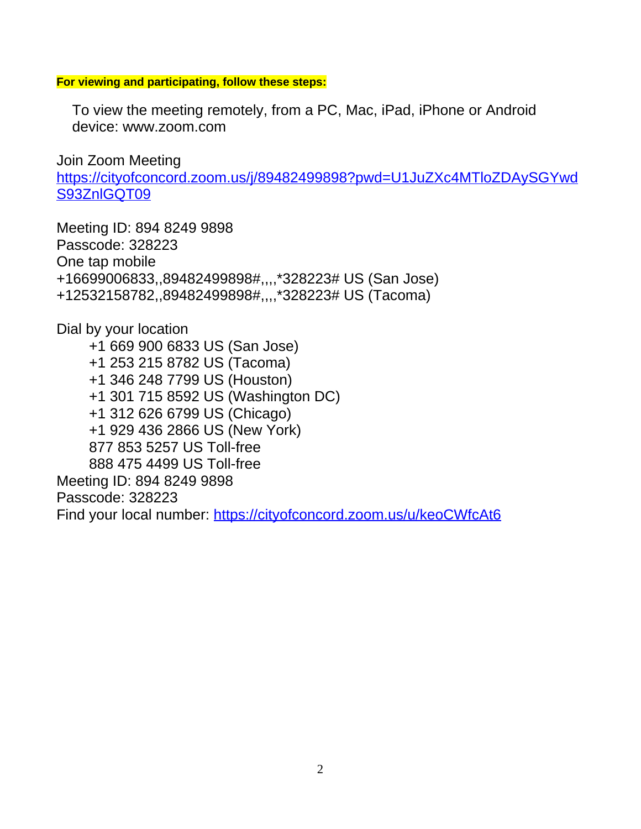#### **For viewing and participating, follow these steps:**

To view the meeting remotely, from a PC, Mac, iPad, iPhone or Android device: www.zoom.com

Join Zoom Meeting [https://cityofconcord.zoom.us/j/89482499898?pwd=U1JuZXc4MTloZDAySGYwd](https://cityofconcord.zoom.us/j/89482499898?pwd=U1JuZXc4MTloZDAySGYwdS93ZnlGQT09) S93ZnlGQT09

Meeting ID: 894 8249 9898 Passcode: 328223 One tap mobile +16699006833,,89482499898#,,,,\*328223# US (San Jose) +12532158782,,89482499898#,,,,\*328223# US (Tacoma)

Dial by your location +1 669 900 6833 US (San Jose) +1 253 215 8782 US (Tacoma) +1 346 248 7799 US (Houston) +1 301 715 8592 US (Washington DC) +1 312 626 6799 US (Chicago) +1 929 436 2866 US (New York) 877 853 5257 US Toll-free 888 475 4499 US Toll-free Meeting ID: 894 8249 9898 Passcode: 328223 Find your local number:<https://cityofconcord.zoom.us/u/keoCWfcAt6>